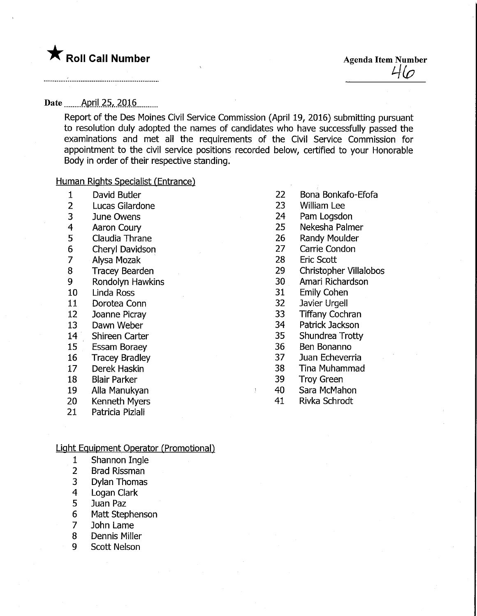# Date \_\_\_\_\_\_ April 25, 2016

Report of the Des Moines Civil Service Commission (April 19, 2016) submitting pursuant to resolution duly adopted the names of candidates who have successfully passed the examinations and met all the requirements of the Civil Service Commission for appointment to the civil service positions recorded below, certified to your Honorable Body in order of their respective standing.

# Human Rights Specialist (Entrance)

- 1 David Butler
- 2 Lucas Gilardone
- 3 June Owens
- 4 Aaron Coury
- 5 Claudia Thrane
- 6 Cheryl Davidson
- 7 Alysa Mozak
- 8 Tracey Bearden
- 9 Rondolyn Hawkins
- 10 Linda Ross
- 11 Dorotea Conn
- 12 Joanne Picray
- 13 Dawn Weber
- 14 Shireen Carter
- 15 Essam Boraey
- 16 Tracey Bradley
- 17 Derek Haskin
- 18 Blair Parker
- 19 Alia Manukyan
- 20 Kenneth Myers
- 21 Patricia Piziali

# <u>Light Equipment Operator (Promotional)</u>

- 1 Shannon Ingle
- 2 Brad Rissman
- 3 Dylan Thomas
- 4 Logan Clark
- 5 Juan Paz
- 6 Matt Stephenson
- 7 John Lame
- 8 Dennis Miller
- 9 Scott Nelson
- 22 Bona Bonkafo-Efofa
- 23 William Lee
- 24 Pam Logsdon
- 25 Nekesha Palmer
- 26 Randy Moulder
- 27 Carrie Condon
- 28 Eric Scott
- 29 Christopher Villalobos
- 30 Amari Richardson
- 31 Emily Cohen
- 32 Javier Urgell
- 33 Tiffany Cochran
- 34 Patrick Jackson
- 35 Shundrea Trotty
- 36 Ben Bonanno
- 37 Juan Echeverria
- 38 Tina Muhammad
- 39 Troy Green
- 40 Sara McMahon
- 41 Rivka Schrodt